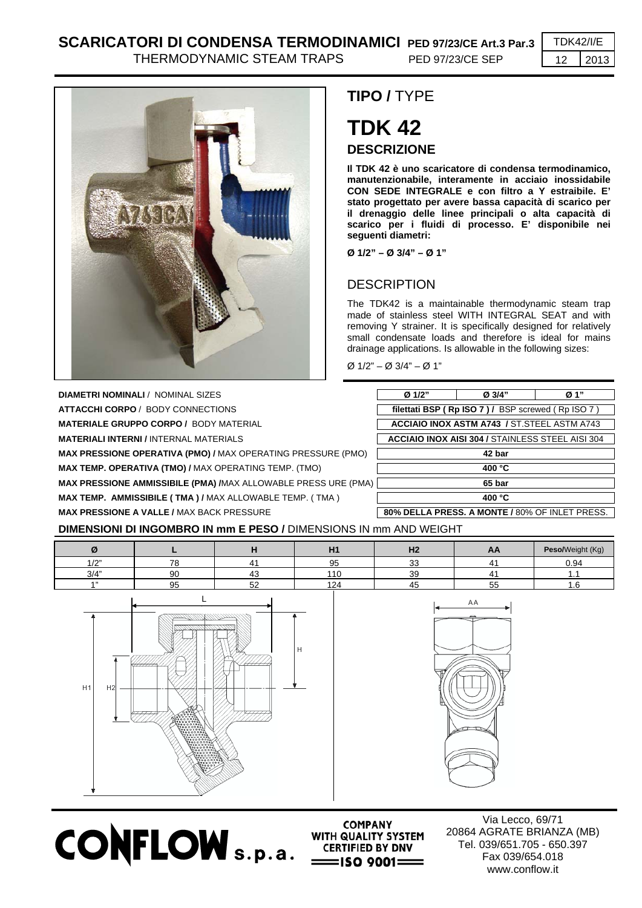## **SCARICATORI DI CONDENSA TERMODINAMICI PED 97/23/CE Art.3 Par.3** TDK42/I/E

THERMODYNAMIC STEAM TRAPS PED 97/23/CE SEP | 12 | 2013



**DIAMETRI NOMINALI** / NOMINAL SIZES **ATTACCHI CORPO** / BODY CONNECTIONS **MATERIALE GRUPPO CORPO / BODY MATERIAL MATERIALI INTERNI / INTERNAL MATERIALS MAX PRESSIONE OPERATIVA (PMO) / MAX OPERATING PRESSURE (PMO) MAX TEMP. OPERATIVA (TMO) / MAX OPERATING TEMP. (TMO)** 

**MAX PRESSIONE AMMISSIBILE (PMA) /MAX ALLOWABLE PRESS URE (PMA** 

**MAX TEMP. AMMISSIBILE ( TMA ) / MAX ALLOWABLE TEMP. ( TMA )** 

## **TIPO /** TYPE

# **TDK 42 DESCRIZIONE**

**Il TDK 42 è uno scaricatore di condensa termodinamico, manutenzionabile, interamente in acciaio inossidabile CON SEDE INTEGRALE e con filtro a Y estraibile. E' stato progettato per avere bassa capacità di scarico per il drenaggio delle linee principali o alta capacità di scarico per i fluidi di processo. E' disponibile nei seguenti diametri:** 

**Ø 1/2" – Ø 3/4" – Ø 1"** 

### **DESCRIPTION**

The TDK42 is a maintainable thermodynamic steam trap made of stainless steel WITH INTEGRAL SEAT and with removing Y strainer. It is specifically designed for relatively small condensate loads and therefore is ideal for mains drainage applications. Is allowable in the following sizes:

Ø 1/2" – Ø 3/4" – Ø 1"

| Ø 1/2"                                                  | Ø 3/4"                                             | Ø 1" |  |  |  |
|---------------------------------------------------------|----------------------------------------------------|------|--|--|--|
|                                                         | filettati BSP (Rp ISO 7) / BSP screwed (Rp ISO 7)  |      |  |  |  |
| <b>ACCIAIO INOX ASTM A743 / ST.STEEL ASTM A743</b>      |                                                    |      |  |  |  |
| <b>ACCIAIO INOX AISI 304 / STAINLESS STEEL AISI 304</b> |                                                    |      |  |  |  |
| 42 bar                                                  |                                                    |      |  |  |  |
| 400 °C                                                  |                                                    |      |  |  |  |
| 65 bar                                                  |                                                    |      |  |  |  |
| 400 °C                                                  |                                                    |      |  |  |  |
|                                                         | <b>CON DELLA BRECC A MONEE LOOM OF INLET BRECC</b> |      |  |  |  |

**MAX PRESSIONE A VALLE / MAX BACK PRESSURE** 80% **DELLA PRESS. A MONTE / 80% OF INLET PRESS.** 

#### **DIMENSIONI DI INGOMBRO IN mm E PESO /** DIMENSIONS IN mm AND WEIGHT

|             |    |         | H<br>п.  | 110<br>--    | AA         | Peso/Weight (Kg) |
|-------------|----|---------|----------|--------------|------------|------------------|
| 101<br>17 L | 70 | 4       | ΩE<br>ວບ | $\sim$<br>ັບ |            | 0.94             |
| 3/4"        | 90 | 43      | 10       | 39           |            |                  |
| 4.33        | 95 | БQ<br>ັ | 124      | ,,,          | $ -$<br>55 | .u               |
|             |    |         |          |              |            |                  |





**COMPANY CONFLOW** s.p.a. **WITH QUALITY SYSTEM** 

Via Lecco, 69/71 20864 AGRATE BRIANZA (MB) Tel. 039/651.705 - 650.397 Fax 039/654.018 www.conflow.it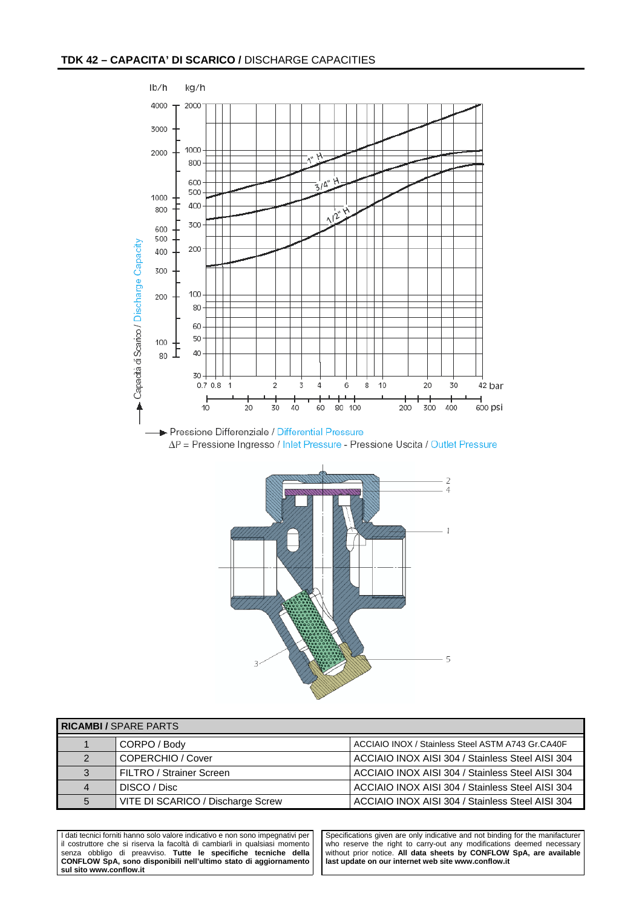



| <b>RICAMBI / SPARE PARTS</b> |                                   |                                                   |  |  |
|------------------------------|-----------------------------------|---------------------------------------------------|--|--|
|                              | CORPO / Body                      | ACCIAIO INOX / Stainless Steel ASTM A743 Gr.CA40F |  |  |
| 2                            | COPERCHIO / Cover                 | ACCIAIO INOX AISI 304 / Stainless Steel AISI 304  |  |  |
| 3                            | FILTRO / Strainer Screen          | ACCIAIO INOX AISI 304 / Stainless Steel AISI 304  |  |  |
| 4                            | DISCO / Disc                      | ACCIAIO INOX AISI 304 / Stainless Steel AISI 304  |  |  |
| 5                            | VITE DI SCARICO / Discharge Screw | ACCIAIO INOX AISI 304 / Stainless Steel AISI 304  |  |  |

I dati tecnici forniti hanno solo valore indicativo e non sono impegnativi per il costruttore che si riserva la facoltà di cambiarli in qualsiasi momento senza obbligo di preavviso. **Tutte le specifiche tecniche della CONFLOW SpA, sono disponibili nell'ultimo stato di aggiornamento sul sito www.conflow.it** 

Specifications given are only indicative and not binding for the manifacturer who reserve the right to carry-out any modifications deemed necessary without prior notice. **All data sheets by CONFLOW SpA, are available last update on our internet web site www.conflow.it**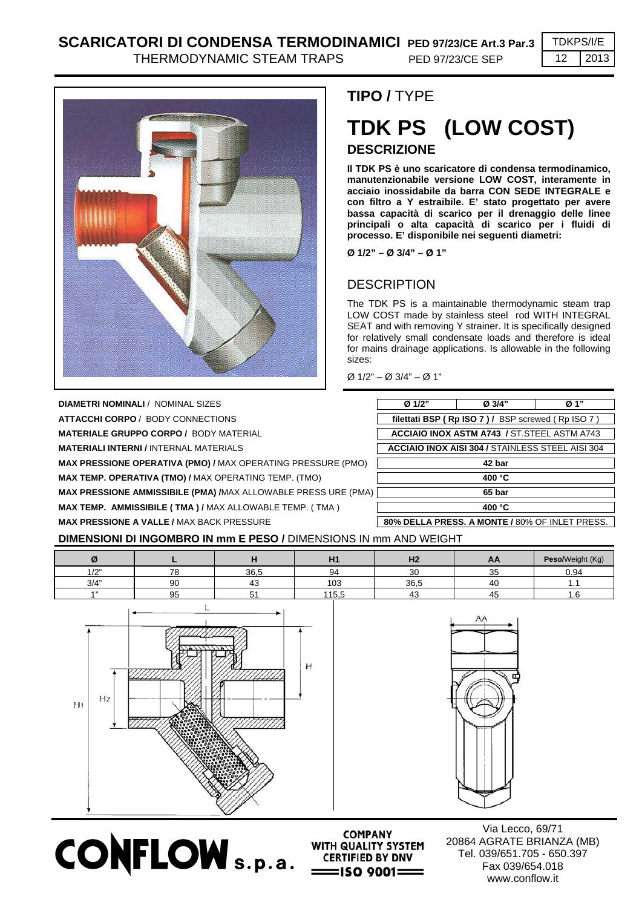THERMODYNAMIC STEAM TRAPS PED 97/23/CE SEP 12 2013



**DIAMETRI NOMINALI / NOMINAL SIZES ATTACCHI CORPO** / BODY CONNECTIONS **MATERIALE GRUPPO CORPO / BODY MATERIAL MATERIALI INTERNI / INTERNAL MATERIALS MAX PRESSIONE OPERATIVA (PMO) / MAX OPERATING PRESSURE (PMO) MAX TEMP. OPERATIVA (TMO) / MAX OPERATING TEMP. (TMO) MAX PRESSIONE AMMISSIBILE (PMA) /MAX ALLOWABLE PRESS URE (PMA) MAX TEMP. AMMISSIBILE ( TMA ) / MAX ALLOWABLE TEMP. ( TMA )** 

## **TIPO /** TYPE

# **TDK PS (LOW COST) DESCRIZIONE**

**Il TDK PS è uno scaricatore di condensa termodinamico, manutenzionabile versione LOW COST, interamente in acciaio inossidabile da barra CON SEDE INTEGRALE e con filtro a Y estraibile. E' stato progettato per avere bassa capacità di scarico per il drenaggio delle linee principali o alta capacità di scarico per i fluidi di processo. E' disponibile nei seguenti diametri:** 

**Ø 1/2" – Ø 3/4" – Ø 1"** 

### **DESCRIPTION**

The TDK PS is a maintainable thermodynamic steam trap LOW COST made by stainless steel rod WITH INTEGRAL SEAT and with removing Y strainer. It is specifically designed for relatively small condensate loads and therefore is ideal for mains drainage applications. Is allowable in the following sizes:

Ø 1/2" – Ø 3/4" – Ø 1"

| Ø 1/2"                                                  | Ø 3/4"           | Ø 1" |  |  |
|---------------------------------------------------------|------------------|------|--|--|
| filettati BSP (Rp ISO 7) / BSP screwed (Rp ISO 7)       |                  |      |  |  |
| <b>ACCIAIO INOX ASTM A743 / ST.STEEL ASTM A743</b>      |                  |      |  |  |
| <b>ACCIAIO INOX AISI 304 / STAINLESS STEEL AISI 304</b> |                  |      |  |  |
| 42 bar                                                  |                  |      |  |  |
| 400 °C                                                  |                  |      |  |  |
| 65 bar                                                  |                  |      |  |  |
|                                                         | 400 $^{\circ}$ C |      |  |  |

**MAX PRESSIONE A VALLE /** MAX BACK PRESSURE **80% DELLA PRESS. A MONTE /** 80% OF INLET PRESS.

#### **DIMENSIONI DI INGOMBRO IN mm E PESO /** DIMENSIONS IN mm AND WEIGHT

|             |    |                          | 114<br>.                   | $\mathbf{u}$<br>пд | АA            | Peso/Weight (Kg) |
|-------------|----|--------------------------|----------------------------|--------------------|---------------|------------------|
| 10"<br>17 L | 70 | 36,5                     | 94                         | 30                 | $\sim$<br>ູບປ | 0.94             |
| 3/4"        | 90 | ี 4⊾                     | $\sim$<br>ט ו              | 36,5               | 40            |                  |
| A 33        | 95 | $\overline{\phantom{0}}$ | 1.07 <sub>0</sub><br>ט, טו | 43                 | 4.            | ن. ا             |

**COMPANY** 



 $$ 



Via Lecco, 69/71 20864 AGRATE BRIANZA (MB) Tel. 039/651.705 - 650.397 Fax 039/654.018 www.conflow.it